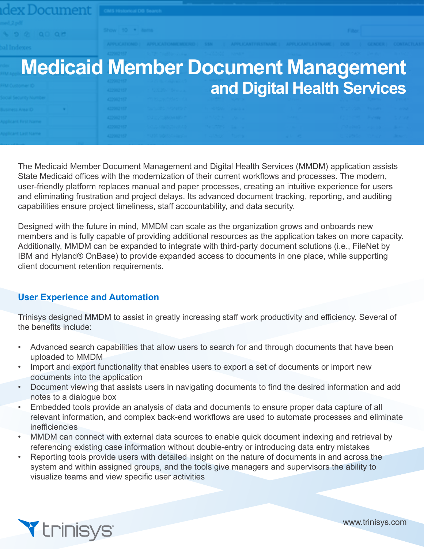Document

# **Medicaid Member Document Management and Digital Health Services**

The Medicaid Member Document Management and Digital Health Services (MMDM) application assists State Medicaid offices with the modernization of their current workflows and processes. The modern, user-friendly platform replaces manual and paper processes, creating an intuitive experience for users and eliminating frustration and project delays. Its advanced document tracking, reporting, and auditing capabilities ensure project timeliness, staff accountability, and data security.

Designed with the future in mind, MMDM can scale as the organization grows and onboards new members and is fully capable of providing additional resources as the application takes on more capacity. Additionally, MMDM can be expanded to integrate with third-party document solutions (i.e., FileNet by IBM and Hyland® OnBase) to provide expanded access to documents in one place, while supporting client document retention requirements.

### **User Experience and Automation**

Trinisys designed MMDM to assist in greatly increasing staff work productivity and efficiency. Several of the benefits include:

- Advanced search capabilities that allow users to search for and through documents that have been uploaded to MMDM
- Import and export functionality that enables users to export a set of documents or import new documents into the application
- Document viewing that assists users in navigating documents to find the desired information and add notes to a dialogue box
- Embedded tools provide an analysis of data and documents to ensure proper data capture of all relevant information, and complex back-end workflows are used to automate processes and eliminate inefficiencies
- MMDM can connect with external data sources to enable quick document indexing and retrieval by referencing existing case information without double-entry or introducing data entry mistakes
- Reporting tools provide users with detailed insight on the nature of documents in and across the system and within assigned groups, and the tools give managers and supervisors the ability to visualize teams and view specific user activities



www.trinisys.com